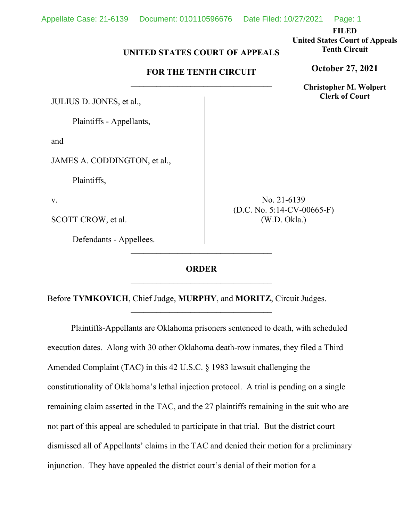**FILED**

**United States Court of Appeals Tenth Circuit**

**October 27, 2021**

**Christopher M. Wolpert Clerk of Court**

## **UNITED STATES COURT OF APPEALS**

## **FOR THE TENTH CIRCUIT**  $\overline{\phantom{a}}$  , where  $\overline{\phantom{a}}$  , where  $\overline{\phantom{a}}$  , where  $\overline{\phantom{a}}$

JULIUS D. JONES, et al.,

Plaintiffs - Appellants,

and

JAMES A. CODDINGTON, et al.,

Plaintiffs,

v.

SCOTT CROW, et al.

Defendants - Appellees.

No. 21-6139 (D.C. No. 5:14-CV-00665-F) (W.D. Okla.)

## **ORDER** \_\_\_\_\_\_\_\_\_\_\_\_\_\_\_\_\_\_\_\_\_\_\_\_\_\_\_\_\_\_\_\_\_

 $\overline{\phantom{a}}$  , where  $\overline{\phantom{a}}$  , where  $\overline{\phantom{a}}$  , where  $\overline{\phantom{a}}$ 

 $\overline{\phantom{a}}$  , where  $\overline{\phantom{a}}$  , where  $\overline{\phantom{a}}$  , where  $\overline{\phantom{a}}$ 

Before **TYMKOVICH**, Chief Judge, **MURPHY**, and **MORITZ**, Circuit Judges.

Plaintiffs-Appellants are Oklahoma prisoners sentenced to death, with scheduled execution dates. Along with 30 other Oklahoma death-row inmates, they filed a Third Amended Complaint (TAC) in this 42 U.S.C. § 1983 lawsuit challenging the constitutionality of Oklahoma's lethal injection protocol. A trial is pending on a single remaining claim asserted in the TAC, and the 27 plaintiffs remaining in the suit who are not part of this appeal are scheduled to participate in that trial. But the district court dismissed all of Appellants' claims in the TAC and denied their motion for a preliminary injunction. They have appealed the district court's denial of their motion for a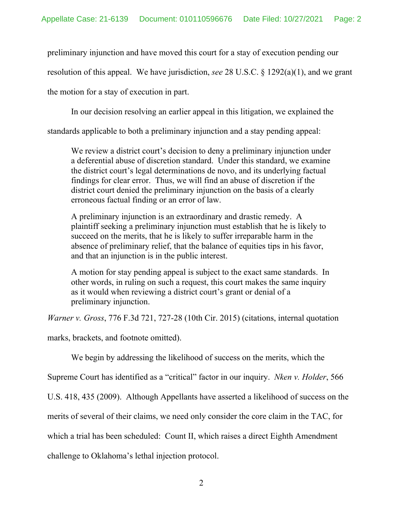preliminary injunction and have moved this court for a stay of execution pending our

resolution of this appeal. We have jurisdiction, *see* 28 U.S.C. § 1292(a)(1), and we grant

the motion for a stay of execution in part.

In our decision resolving an earlier appeal in this litigation, we explained the

standards applicable to both a preliminary injunction and a stay pending appeal:

We review a district court's decision to deny a preliminary injunction under a deferential abuse of discretion standard. Under this standard, we examine the district court's legal determinations de novo, and its underlying factual findings for clear error. Thus, we will find an abuse of discretion if the district court denied the preliminary injunction on the basis of a clearly erroneous factual finding or an error of law.

A preliminary injunction is an extraordinary and drastic remedy. A plaintiff seeking a preliminary injunction must establish that he is likely to succeed on the merits, that he is likely to suffer irreparable harm in the absence of preliminary relief, that the balance of equities tips in his favor, and that an injunction is in the public interest.

A motion for stay pending appeal is subject to the exact same standards. In other words, in ruling on such a request, this court makes the same inquiry as it would when reviewing a district court's grant or denial of a preliminary injunction.

*Warner v. Gross*, 776 F.3d 721, 727-28 (10th Cir. 2015) (citations, internal quotation

marks, brackets, and footnote omitted).

We begin by addressing the likelihood of success on the merits, which the

Supreme Court has identified as a "critical" factor in our inquiry. *Nken v. Holder*, 566

U.S. 418, 435 (2009). Although Appellants have asserted a likelihood of success on the

merits of several of their claims, we need only consider the core claim in the TAC, for

which a trial has been scheduled: Count II, which raises a direct Eighth Amendment

challenge to Oklahoma's lethal injection protocol.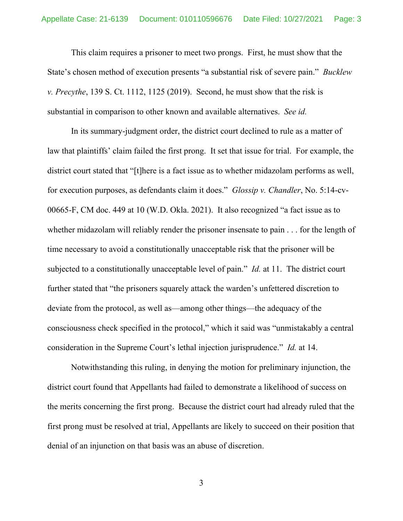This claim requires a prisoner to meet two prongs. First, he must show that the State's chosen method of execution presents "a substantial risk of severe pain." *Bucklew v. Precythe*, 139 S. Ct. 1112, 1125 (2019). Second, he must show that the risk is substantial in comparison to other known and available alternatives. *See id.*

In its summary-judgment order, the district court declined to rule as a matter of law that plaintiffs' claim failed the first prong. It set that issue for trial. For example, the district court stated that "[t]here is a fact issue as to whether midazolam performs as well, for execution purposes, as defendants claim it does." *Glossip v. Chandler*, No. 5:14-cv-00665-F, CM doc. 449 at 10 (W.D. Okla. 2021). It also recognized "a fact issue as to whether midazolam will reliably render the prisoner insensate to pain . . . for the length of time necessary to avoid a constitutionally unacceptable risk that the prisoner will be subjected to a constitutionally unacceptable level of pain." *Id.* at 11. The district court further stated that "the prisoners squarely attack the warden's unfettered discretion to deviate from the protocol, as well as—among other things—the adequacy of the consciousness check specified in the protocol," which it said was "unmistakably a central consideration in the Supreme Court's lethal injection jurisprudence." *Id.* at 14.

Notwithstanding this ruling, in denying the motion for preliminary injunction, the district court found that Appellants had failed to demonstrate a likelihood of success on the merits concerning the first prong. Because the district court had already ruled that the first prong must be resolved at trial, Appellants are likely to succeed on their position that denial of an injunction on that basis was an abuse of discretion.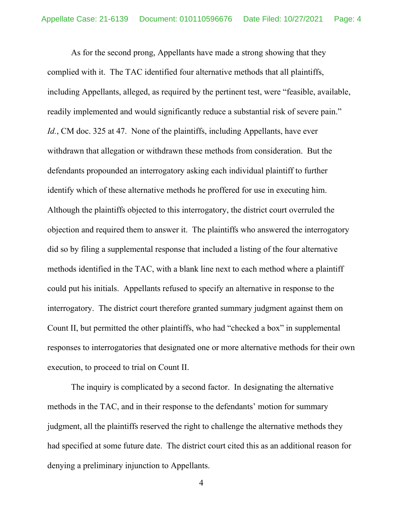As for the second prong, Appellants have made a strong showing that they complied with it. The TAC identified four alternative methods that all plaintiffs, including Appellants, alleged, as required by the pertinent test, were "feasible, available, readily implemented and would significantly reduce a substantial risk of severe pain." *Id.*, CM doc. 325 at 47. None of the plaintiffs, including Appellants, have ever withdrawn that allegation or withdrawn these methods from consideration. But the defendants propounded an interrogatory asking each individual plaintiff to further identify which of these alternative methods he proffered for use in executing him. Although the plaintiffs objected to this interrogatory, the district court overruled the objection and required them to answer it. The plaintiffs who answered the interrogatory did so by filing a supplemental response that included a listing of the four alternative methods identified in the TAC, with a blank line next to each method where a plaintiff could put his initials. Appellants refused to specify an alternative in response to the interrogatory. The district court therefore granted summary judgment against them on Count II, but permitted the other plaintiffs, who had "checked a box" in supplemental responses to interrogatories that designated one or more alternative methods for their own execution, to proceed to trial on Count II.

The inquiry is complicated by a second factor. In designating the alternative methods in the TAC, and in their response to the defendants' motion for summary judgment, all the plaintiffs reserved the right to challenge the alternative methods they had specified at some future date. The district court cited this as an additional reason for denying a preliminary injunction to Appellants.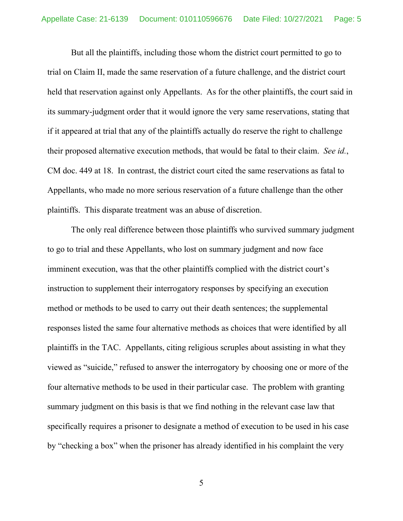But all the plaintiffs, including those whom the district court permitted to go to trial on Claim II, made the same reservation of a future challenge, and the district court held that reservation against only Appellants. As for the other plaintiffs, the court said in its summary-judgment order that it would ignore the very same reservations, stating that if it appeared at trial that any of the plaintiffs actually do reserve the right to challenge their proposed alternative execution methods, that would be fatal to their claim. *See id.*, CM doc. 449 at 18. In contrast, the district court cited the same reservations as fatal to Appellants, who made no more serious reservation of a future challenge than the other plaintiffs. This disparate treatment was an abuse of discretion.

The only real difference between those plaintiffs who survived summary judgment to go to trial and these Appellants, who lost on summary judgment and now face imminent execution, was that the other plaintiffs complied with the district court's instruction to supplement their interrogatory responses by specifying an execution method or methods to be used to carry out their death sentences; the supplemental responses listed the same four alternative methods as choices that were identified by all plaintiffs in the TAC. Appellants, citing religious scruples about assisting in what they viewed as "suicide," refused to answer the interrogatory by choosing one or more of the four alternative methods to be used in their particular case. The problem with granting summary judgment on this basis is that we find nothing in the relevant case law that specifically requires a prisoner to designate a method of execution to be used in his case by "checking a box" when the prisoner has already identified in his complaint the very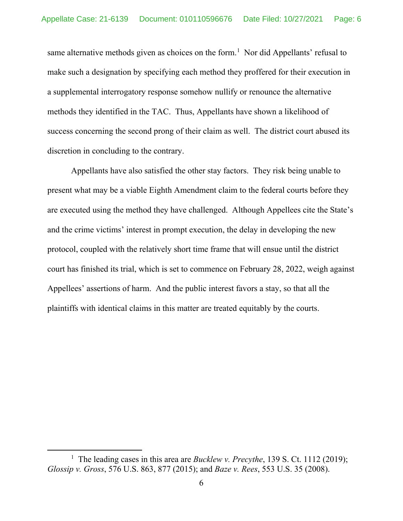same alternative methods given as choices on the form.<sup>1</sup> Nor did Appellants' refusal to make such a designation by specifying each method they proffered for their execution in a supplemental interrogatory response somehow nullify or renounce the alternative methods they identified in the TAC. Thus, Appellants have shown a likelihood of success concerning the second prong of their claim as well. The district court abused its discretion in concluding to the contrary.

Appellants have also satisfied the other stay factors. They risk being unable to present what may be a viable Eighth Amendment claim to the federal courts before they are executed using the method they have challenged. Although Appellees cite the State's and the crime victims' interest in prompt execution, the delay in developing the new protocol, coupled with the relatively short time frame that will ensue until the district court has finished its trial, which is set to commence on February 28, 2022, weigh against Appellees' assertions of harm. And the public interest favors a stay, so that all the plaintiffs with identical claims in this matter are treated equitably by the courts.

<sup>&</sup>lt;sup>1</sup> The leading cases in this area are *Bucklew v. Precythe*, 139 S. Ct. 1112 (2019); *Glossip v. Gross*, 576 U.S. 863, 877 (2015); and *Baze v. Rees*, 553 U.S. 35 (2008).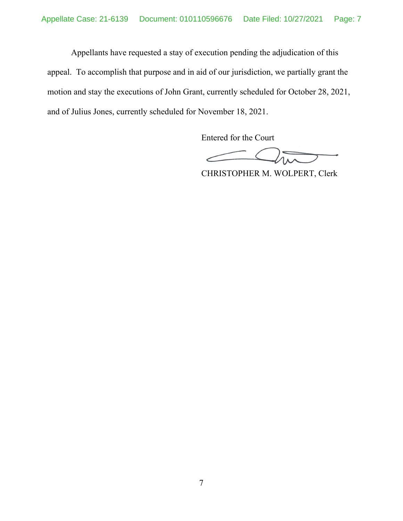Appellants have requested a stay of execution pending the adjudication of this appeal. To accomplish that purpose and in aid of our jurisdiction, we partially grant the motion and stay the executions of John Grant, currently scheduled for October 28, 2021, and of Julius Jones, currently scheduled for November 18, 2021.

Entered for the Court

CHRISTOPHER M. WOLPERT, Clerk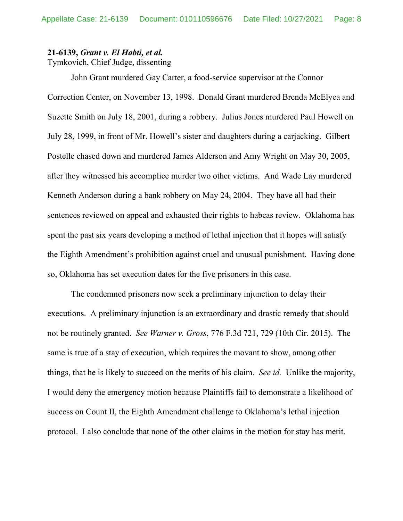## **21-6139,** *Grant v. El Habti, et al.*

Tymkovich, Chief Judge, dissenting

John Grant murdered Gay Carter, a food-service supervisor at the Connor Correction Center, on November 13, 1998. Donald Grant murdered Brenda McElyea and Suzette Smith on July 18, 2001, during a robbery. Julius Jones murdered Paul Howell on July 28, 1999, in front of Mr. Howell's sister and daughters during a carjacking. Gilbert Postelle chased down and murdered James Alderson and Amy Wright on May 30, 2005, after they witnessed his accomplice murder two other victims. And Wade Lay murdered Kenneth Anderson during a bank robbery on May 24, 2004. They have all had their sentences reviewed on appeal and exhausted their rights to habeas review. Oklahoma has spent the past six years developing a method of lethal injection that it hopes will satisfy the Eighth Amendment's prohibition against cruel and unusual punishment. Having done so, Oklahoma has set execution dates for the five prisoners in this case.

The condemned prisoners now seek a preliminary injunction to delay their executions. A preliminary injunction is an extraordinary and drastic remedy that should not be routinely granted. *See Warner v. Gross*, 776 F.3d 721, 729 (10th Cir. 2015). The same is true of a stay of execution, which requires the movant to show, among other things, that he is likely to succeed on the merits of his claim. *See id.* Unlike the majority, I would deny the emergency motion because Plaintiffs fail to demonstrate a likelihood of success on Count II, the Eighth Amendment challenge to Oklahoma's lethal injection protocol. I also conclude that none of the other claims in the motion for stay has merit.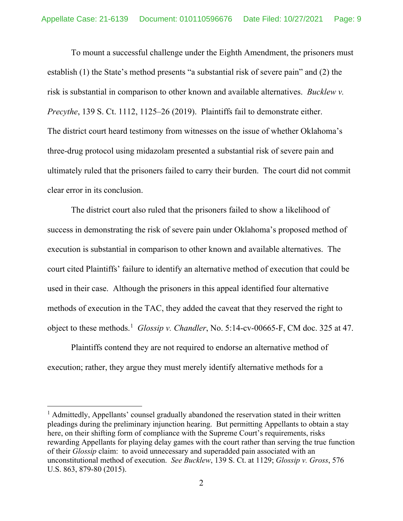To mount a successful challenge under the Eighth Amendment, the prisoners must establish (1) the State's method presents "a substantial risk of severe pain" and (2) the risk is substantial in comparison to other known and available alternatives. *Bucklew v. Precythe*, 139 S. Ct. 1112, 1125–26 (2019). Plaintiffs fail to demonstrate either. The district court heard testimony from witnesses on the issue of whether Oklahoma's three-drug protocol using midazolam presented a substantial risk of severe pain and ultimately ruled that the prisoners failed to carry their burden. The court did not commit clear error in its conclusion.

The district court also ruled that the prisoners failed to show a likelihood of success in demonstrating the risk of severe pain under Oklahoma's proposed method of execution is substantial in comparison to other known and available alternatives. The court cited Plaintiffs' failure to identify an alternative method of execution that could be used in their case. Although the prisoners in this appeal identified four alternative methods of execution in the TAC, they added the caveat that they reserved the right to object to these methods. 1 *Glossip v. Chandler*, No. 5:14-cv-00665-F, CM doc. 325 at 47.

Plaintiffs contend they are not required to endorse an alternative method of execution; rather, they argue they must merely identify alternative methods for a

 $<sup>1</sup>$  Admittedly, Appellants' counsel gradually abandoned the reservation stated in their written</sup> pleadings during the preliminary injunction hearing. But permitting Appellants to obtain a stay here, on their shifting form of compliance with the Supreme Court's requirements, risks rewarding Appellants for playing delay games with the court rather than serving the true function of their *Glossip* claim: to avoid unnecessary and superadded pain associated with an unconstitutional method of execution. *See Bucklew*, 139 S. Ct. at 1129; *Glossip v. Gross*, 576 U.S. 863, 879-80 (2015).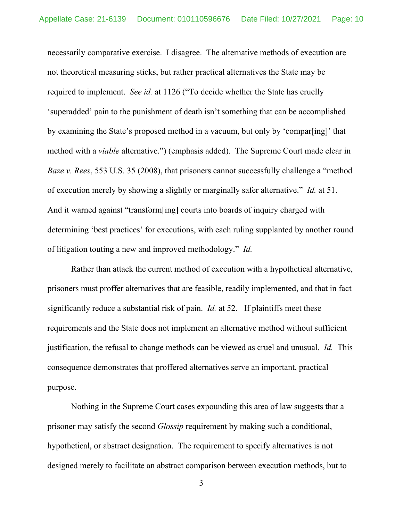necessarily comparative exercise. I disagree. The alternative methods of execution are not theoretical measuring sticks, but rather practical alternatives the State may be required to implement. *See id.* at 1126 ("To decide whether the State has cruelly 'superadded' pain to the punishment of death isn't something that can be accomplished by examining the State's proposed method in a vacuum, but only by 'compar[ing]' that method with a *viable* alternative.") (emphasis added). The Supreme Court made clear in *Baze v. Rees*, 553 U.S. 35 (2008), that prisoners cannot successfully challenge a "method of execution merely by showing a slightly or marginally safer alternative." *Id.* at 51. And it warned against "transform[ing] courts into boards of inquiry charged with determining 'best practices' for executions, with each ruling supplanted by another round of litigation touting a new and improved methodology." *Id.*

Rather than attack the current method of execution with a hypothetical alternative, prisoners must proffer alternatives that are feasible, readily implemented, and that in fact significantly reduce a substantial risk of pain. *Id.* at 52. If plaintiffs meet these requirements and the State does not implement an alternative method without sufficient justification, the refusal to change methods can be viewed as cruel and unusual. *Id.* This consequence demonstrates that proffered alternatives serve an important, practical purpose.

Nothing in the Supreme Court cases expounding this area of law suggests that a prisoner may satisfy the second *Glossip* requirement by making such a conditional, hypothetical, or abstract designation. The requirement to specify alternatives is not designed merely to facilitate an abstract comparison between execution methods, but to